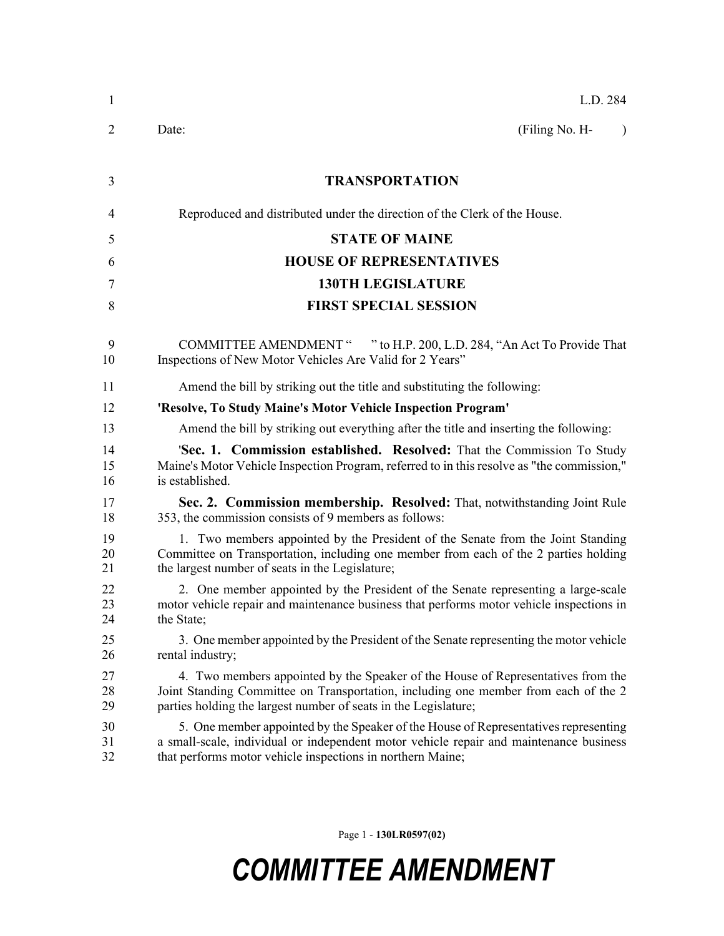| $\mathbf{1}$   | L.D. 284                                                                                                                                                                                                                                    |  |  |
|----------------|---------------------------------------------------------------------------------------------------------------------------------------------------------------------------------------------------------------------------------------------|--|--|
| 2              | (Filing No. H-<br>Date:<br>$\lambda$                                                                                                                                                                                                        |  |  |
| 3              | <b>TRANSPORTATION</b>                                                                                                                                                                                                                       |  |  |
| $\overline{4}$ | Reproduced and distributed under the direction of the Clerk of the House.                                                                                                                                                                   |  |  |
| 5              | <b>STATE OF MAINE</b>                                                                                                                                                                                                                       |  |  |
| 6              | <b>HOUSE OF REPRESENTATIVES</b>                                                                                                                                                                                                             |  |  |
| 7              | <b>130TH LEGISLATURE</b>                                                                                                                                                                                                                    |  |  |
| 8              | <b>FIRST SPECIAL SESSION</b>                                                                                                                                                                                                                |  |  |
| 9<br>10        | COMMITTEE AMENDMENT " " to H.P. 200, L.D. 284, "An Act To Provide That<br>Inspections of New Motor Vehicles Are Valid for 2 Years"                                                                                                          |  |  |
| 11             | Amend the bill by striking out the title and substituting the following:                                                                                                                                                                    |  |  |
| 12             | 'Resolve, To Study Maine's Motor Vehicle Inspection Program'                                                                                                                                                                                |  |  |
| 13             | Amend the bill by striking out everything after the title and inserting the following:                                                                                                                                                      |  |  |
| 14<br>15<br>16 | 'Sec. 1. Commission established. Resolved: That the Commission To Study<br>Maine's Motor Vehicle Inspection Program, referred to in this resolve as "the commission,"<br>is established.                                                    |  |  |
| 17<br>18       | Sec. 2. Commission membership. Resolved: That, notwithstanding Joint Rule<br>353, the commission consists of 9 members as follows:                                                                                                          |  |  |
| 19<br>20<br>21 | 1. Two members appointed by the President of the Senate from the Joint Standing<br>Committee on Transportation, including one member from each of the 2 parties holding<br>the largest number of seats in the Legislature;                  |  |  |
| 22<br>23<br>24 | 2. One member appointed by the President of the Senate representing a large-scale<br>motor vehicle repair and maintenance business that performs motor vehicle inspections in<br>the State;                                                 |  |  |
| 25<br>26       | 3. One member appointed by the President of the Senate representing the motor vehicle<br>rental industry;                                                                                                                                   |  |  |
| 27<br>28<br>29 | 4. Two members appointed by the Speaker of the House of Representatives from the<br>Joint Standing Committee on Transportation, including one member from each of the 2<br>parties holding the largest number of seats in the Legislature;  |  |  |
| 30<br>31<br>32 | 5. One member appointed by the Speaker of the House of Representatives representing<br>a small-scale, individual or independent motor vehicle repair and maintenance business<br>that performs motor vehicle inspections in northern Maine; |  |  |

Page 1 - **130LR0597(02)**

## *COMMITTEE AMENDMENT*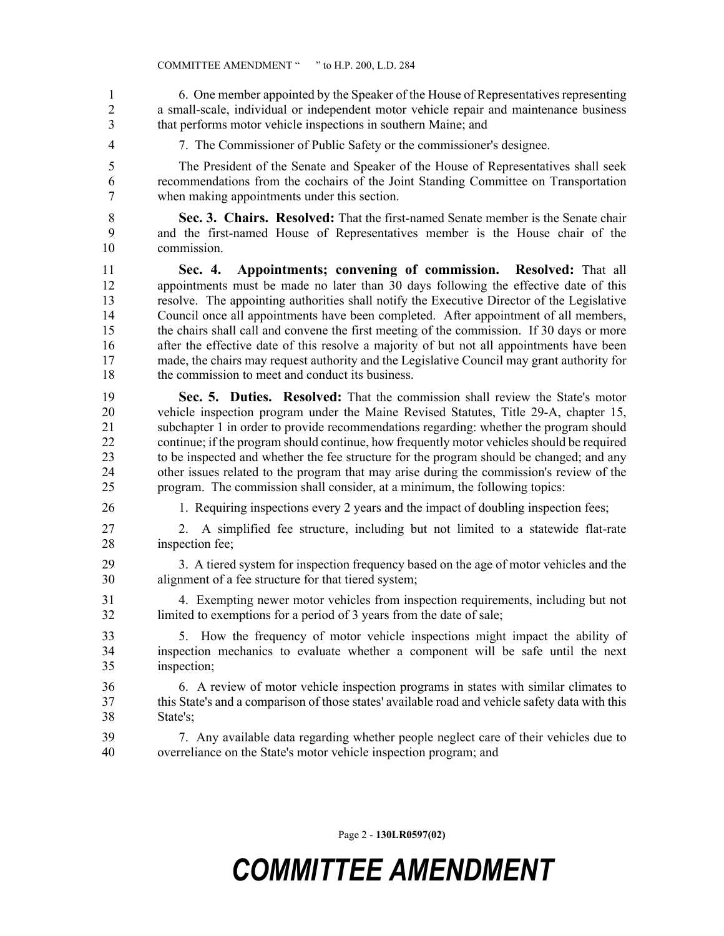1 6. One member appointed by the Speaker of the House of Representatives representing 2 a small-scale, individual or independent motor vehicle repair and maintenance business 3 that performs motor vehicle inspections in southern Maine; and

4 7. The Commissioner of Public Safety or the commissioner's designee.

5 The President of the Senate and Speaker of the House of Representatives shall seek 6 recommendations from the cochairs of the Joint Standing Committee on Transportation 7 when making appointments under this section.

8 **Sec. 3. Chairs. Resolved:** That the first-named Senate member is the Senate chair 9 and the first-named House of Representatives member is the House chair of the 10 commission.

11 **Sec. 4. Appointments; convening of commission. Resolved:** That all 12 appointments must be made no later than 30 days following the effective date of this 13 resolve. The appointing authorities shall notify the Executive Director of the Legislative 14 Council once all appointments have been completed. After appointment of all members, 15 the chairs shall call and convene the first meeting of the commission. If 30 days or more 16 after the effective date of this resolve a majority of but not all appointments have been 17 made, the chairs may request authority and the Legislative Council may grant authority for 18 the commission to meet and conduct its business.

19 **Sec. 5. Duties. Resolved:** That the commission shall review the State's motor 20 vehicle inspection program under the Maine Revised Statutes, Title 29-A, chapter 15, 21 subchapter 1 in order to provide recommendations regarding: whether the program should 22 continue; if the program should continue, how frequently motor vehicles should be required 23 to be inspected and whether the fee structure for the program should be changed; and any 24 other issues related to the program that may arise during the commission's review of the 25 program. The commission shall consider, at a minimum, the following topics:

26 1. Requiring inspections every 2 years and the impact of doubling inspection fees;

27 2. A simplified fee structure, including but not limited to a statewide flat-rate 28 inspection fee;

29 3. A tiered system for inspection frequency based on the age of motor vehicles and the 30 alignment of a fee structure for that tiered system;

31 4. Exempting newer motor vehicles from inspection requirements, including but not 32 limited to exemptions for a period of 3 years from the date of sale;

33 5. How the frequency of motor vehicle inspections might impact the ability of 34 inspection mechanics to evaluate whether a component will be safe until the next 35 inspection;

- 36 6. A review of motor vehicle inspection programs in states with similar climates to 37 this State's and a comparison of those states' available road and vehicle safety data with this 38 State's;
- 39 7. Any available data regarding whether people neglect care of their vehicles due to 40 overreliance on the State's motor vehicle inspection program; and

Page 2 - **130LR0597(02)**

## *COMMITTEE AMENDMENT*